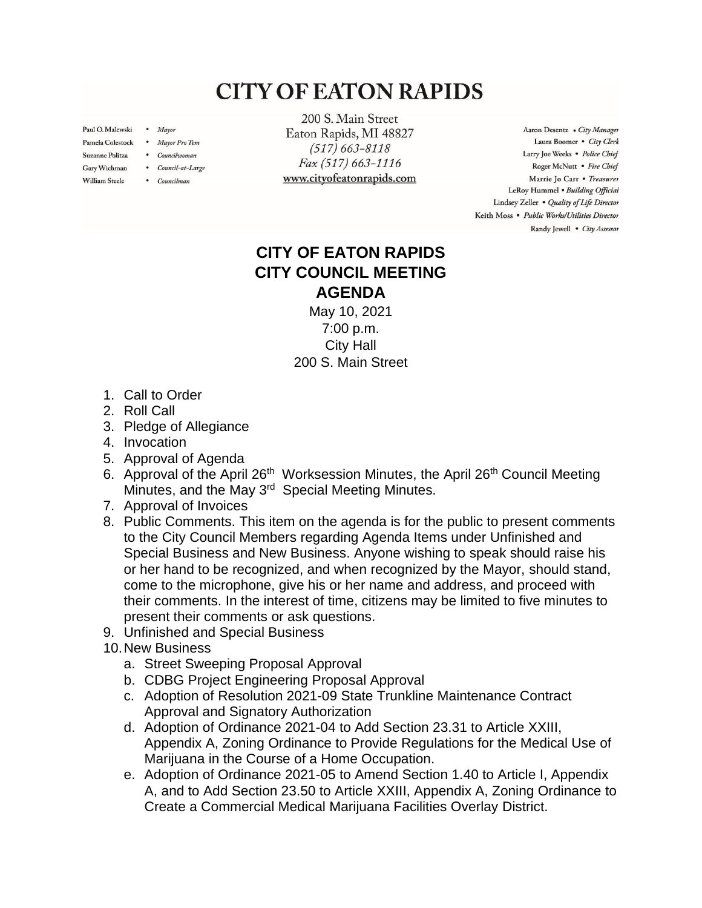## **CITY OF EATON RAPIDS**

Paul O. Malewski . Mayor

**William Steele** 

- Pamela Colestock . Mayor Pro Tem
- Suzanne Politza . Councilwoman
- Gary Wichman . Council-at-Large
	- Councilman

200 S. Main Street Eaton Rapids, MI 48827  $(517) 663 - 8118$ Fax (517) 663-1116 www.cityofeatonrapids.com

Aaron Desentz . City Manager Laura Boomer . City Clerk Larry Joe Weeks . Police Chief Roger McNutt · Fire Chief Marrie Jo Carr . Treasurer LeRoy Hummel . Building Official Lindsey Zeller . Quality of Life Director Keith Moss · Public Works/Utilities Director Randy Jewell . City Assessor

## **CITY OF EATON RAPIDS CITY COUNCIL MEETING AGENDA**

May 10, 2021 7:00 p.m. City Hall 200 S. Main Street

- 1. Call to Order
- 2. Roll Call
- 3. Pledge of Allegiance
- 4. Invocation
- 5. Approval of Agenda
- 6. Approval of the April 26<sup>th</sup> Worksession Minutes, the April 26<sup>th</sup> Council Meeting Minutes, and the May 3<sup>rd</sup> Special Meeting Minutes.
- 7. Approval of Invoices
- 8. Public Comments. This item on the agenda is for the public to present comments to the City Council Members regarding Agenda Items under Unfinished and Special Business and New Business. Anyone wishing to speak should raise his or her hand to be recognized, and when recognized by the Mayor, should stand, come to the microphone, give his or her name and address, and proceed with their comments. In the interest of time, citizens may be limited to five minutes to present their comments or ask questions.
- 9. Unfinished and Special Business
- 10.New Business
	- a. Street Sweeping Proposal Approval
	- b. CDBG Project Engineering Proposal Approval
	- c. Adoption of Resolution 2021-09 State Trunkline Maintenance Contract Approval and Signatory Authorization
	- d. Adoption of Ordinance 2021-04 to Add Section 23.31 to Article XXIII, Appendix A, Zoning Ordinance to Provide Regulations for the Medical Use of Marijuana in the Course of a Home Occupation.
	- e. Adoption of Ordinance 2021-05 to Amend Section 1.40 to Article I, Appendix A, and to Add Section 23.50 to Article XXIII, Appendix A, Zoning Ordinance to Create a Commercial Medical Marijuana Facilities Overlay District.